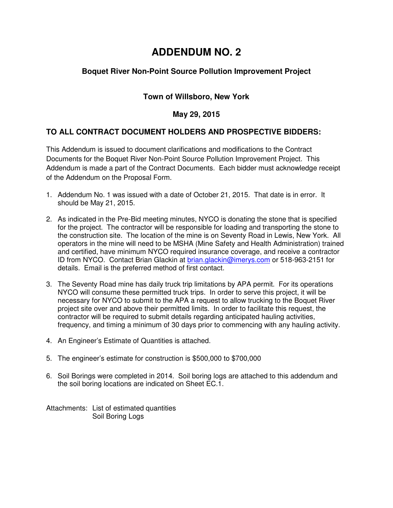# **ADDENDUM NO. 2**

# **Boquet River Non-Point Source Pollution Improvement Project**

# **Town of Willsboro, New York**

#### **May 29, 2015**

### **TO ALL CONTRACT DOCUMENT HOLDERS AND PROSPECTIVE BIDDERS:**

This Addendum is issued to document clarifications and modifications to the Contract Documents for the Boquet River Non-Point Source Pollution Improvement Project. This Addendum is made a part of the Contract Documents. Each bidder must acknowledge receipt of the Addendum on the Proposal Form.

- 1. Addendum No. 1 was issued with a date of October 21, 2015. That date is in error. It should be May 21, 2015.
- 2. As indicated in the Pre-Bid meeting minutes, NYCO is donating the stone that is specified for the project. The contractor will be responsible for loading and transporting the stone to the construction site. The location of the mine is on Seventy Road in Lewis, New York. All operators in the mine will need to be MSHA (Mine Safety and Health Administration) trained and certified, have minimum NYCO required insurance coverage, and receive a contractor ID from NYCO. Contact Brian Glackin at brian.glackin@imerys.com or 518-963-2151 for details. Email is the preferred method of first contact.
- 3. The Seventy Road mine has daily truck trip limitations by APA permit. For its operations NYCO will consume these permitted truck trips. In order to serve this project, it will be necessary for NYCO to submit to the APA a request to allow trucking to the Boquet River project site over and above their permitted limits. In order to facilitate this request, the contractor will be required to submit details regarding anticipated hauling activities, frequency, and timing a minimum of 30 days prior to commencing with any hauling activity.
- 4. An Engineer's Estimate of Quantities is attached.
- 5. The engineer's estimate for construction is \$500,000 to \$700,000
- 6. Soil Borings were completed in 2014. Soil boring logs are attached to this addendum and the soil boring locations are indicated on Sheet EC.1.

Attachments: List of estimated quantities Soil Boring Logs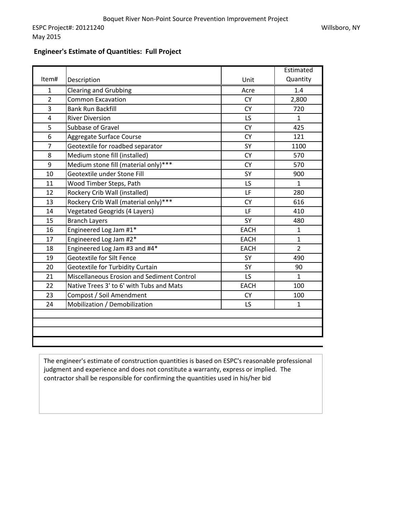#### **Engineer's Estimate of Quantities: Full Project**

May 2015

|                |                                            |             | Estimated      |
|----------------|--------------------------------------------|-------------|----------------|
| Item#          | Description                                | Unit        | Quantity       |
| $\mathbf{1}$   | <b>Clearing and Grubbing</b>               | Acre        | 1.4            |
| $\overline{2}$ | <b>Common Excavation</b>                   | <b>CY</b>   | 2,800          |
| 3              | <b>Bank Run Backfill</b>                   | <b>CY</b>   | 720            |
| 4              | <b>River Diversion</b>                     | LS          | $\mathbf{1}$   |
| 5              | Subbase of Gravel                          | <b>CY</b>   | 425            |
| 6              | Aggregate Surface Course                   | <b>CY</b>   | 121            |
| $\overline{7}$ | Geotextile for roadbed separator           | SY          | 1100           |
| 8              | Medium stone fill (installed)              | <b>CY</b>   | 570            |
| 9              | Medium stone fill (material only)***       | <b>CY</b>   | 570            |
| 10             | Geotextile under Stone Fill                | SY          | 900            |
| 11             | Wood Timber Steps, Path                    | LS          | $\mathbf{1}$   |
| 12             | Rockery Crib Wall (installed)              | LF          | 280            |
| 13             | Rockery Crib Wall (material only)***       | <b>CY</b>   | 616            |
| 14             | <b>Vegetated Geogrids (4 Layers)</b>       | LF          | 410            |
| 15             | <b>Branch Layers</b>                       | SY          | 480            |
| 16             | Engineered Log Jam #1*                     | <b>EACH</b> | $\mathbf{1}$   |
| 17             | Engineered Log Jam #2*                     | <b>EACH</b> | $\mathbf{1}$   |
| 18             | Engineered Log Jam #3 and #4*              | <b>EACH</b> | $\overline{2}$ |
| 19             | Geotextile for Silt Fence                  | SY          | 490            |
| 20             | Geotextile for Turbidity Curtain           | SY          | 90             |
| 21             | Miscellaneous Erosion and Sediment Control | LS          | $\mathbf{1}$   |
| 22             | Native Trees 3' to 6' with Tubs and Mats   | <b>EACH</b> | 100            |
| 23             | Compost / Soil Amendment                   | <b>CY</b>   | 100            |
| 24             | Mobilization / Demobilization              | LS          | $\mathbf{1}$   |
|                |                                            |             |                |
|                |                                            |             |                |
|                |                                            |             |                |
|                |                                            |             |                |

The engineer's estimate of construction quantities is based on ESPC's reasonable professional judgment and experience and does not constitute a warranty, express or implied. The contractor shall be responsible for confirming the quantities used in his/her bid